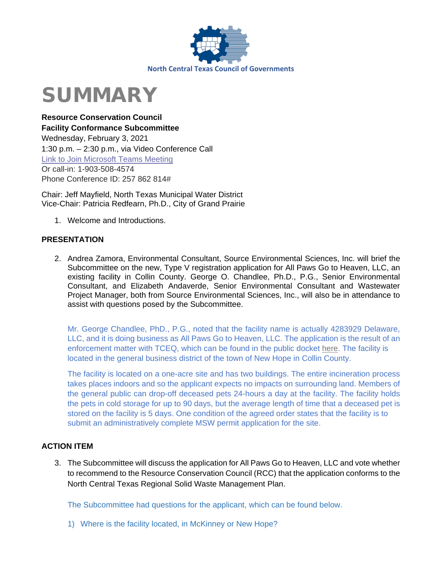

# SUMMARY

**Resource Conservation Council Facility Conformance Subcommittee**  Wednesday, February 3, 2021 1:30 p.m. – 2:30 p.m., via Video Conference Call [Link to Join Microsoft Teams Meeting](https://teams.microsoft.com/l/meetup-join/19%3ameeting_MjEwYzZlYjUtOTExMC00YWU2LTg3ZGItMzY5OTRiNzA4Yjkx%40thread.v2/0?context=%7b%22Tid%22%3a%222f5e7ebc-22b0-4fbe-934c-aabddb4e29b1%22%2c%22Oid%22%3a%22e36755e2-eefa-4b02-b9cc-4498875cd36a%22%7d) Or call-in: 1-903-508-4574 Phone Conference ID: 257 862 814#

Chair: Jeff Mayfield, North Texas Municipal Water District Vice-Chair: Patricia Redfearn, Ph.D., City of Grand Prairie

1. Welcome and Introductions.

## **PRESENTATION**

2. Andrea Zamora, Environmental Consultant, Source Environmental Sciences, Inc. will brief the Subcommittee on the new, Type V registration application for All Paws Go to Heaven, LLC, an existing facility in Collin County. George O. Chandlee, Ph.D., P.G., Senior Environmental Consultant, and Elizabeth Andaverde, Senior Environmental Consultant and Wastewater Project Manager, both from Source Environmental Sciences, Inc., will also be in attendance to assist with questions posed by the Subcommittee.

Mr. George Chandlee, PhD., P.G., noted that the facility name is actually 4283929 Delaware, LLC, and it is doing business as All Paws Go to Heaven, LLC. The application is the result of an enforcement matter with TCEQ, which can be found in the public docket [here.](https://www.tceq.texas.gov/assets/public/comm_exec/agendas/comm/backup/Agendas/2020/11-04-2020/1444MLM.pdf) The facility is located in the general business district of the town of New Hope in Collin County.

The facility is located on a one-acre site and has two buildings. The entire incineration process takes places indoors and so the applicant expects no impacts on surrounding land. Members of the general public can drop-off deceased pets 24-hours a day at the facility. The facility holds the pets in cold storage for up to 90 days, but the average length of time that a deceased pet is stored on the facility is 5 days. One condition of the agreed order states that the facility is to submit an administratively complete MSW permit application for the site.

## **ACTION ITEM**

3. The Subcommittee will discuss the application for All Paws Go to Heaven, LLC and vote whether to recommend to the Resource Conservation Council (RCC) that the application conforms to the North Central Texas Regional Solid Waste Management Plan.

The Subcommittee had questions for the applicant, which can be found below.

1) Where is the facility located, in McKinney or New Hope?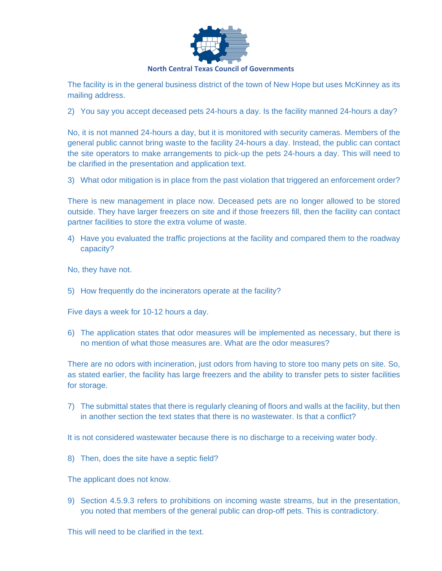

The facility is in the general business district of the town of New Hope but uses McKinney as its mailing address.

2) You say you accept deceased pets 24-hours a day. Is the facility manned 24-hours a day?

No, it is not manned 24-hours a day, but it is monitored with security cameras. Members of the general public cannot bring waste to the facility 24-hours a day. Instead, the public can contact the site operators to make arrangements to pick-up the pets 24-hours a day. This will need to be clarified in the presentation and application text.

3) What odor mitigation is in place from the past violation that triggered an enforcement order?

There is new management in place now. Deceased pets are no longer allowed to be stored outside. They have larger freezers on site and if those freezers fill, then the facility can contact partner facilities to store the extra volume of waste.

- 4) Have you evaluated the traffic projections at the facility and compared them to the roadway capacity?
- No, they have not.
- 5) How frequently do the incinerators operate at the facility?

Five days a week for 10-12 hours a day.

6) The application states that odor measures will be implemented as necessary, but there is no mention of what those measures are. What are the odor measures?

There are no odors with incineration, just odors from having to store too many pets on site. So, as stated earlier, the facility has large freezers and the ability to transfer pets to sister facilities for storage.

7) The submittal states that there is regularly cleaning of floors and walls at the facility, but then in another section the text states that there is no wastewater. Is that a conflict?

It is not considered wastewater because there is no discharge to a receiving water body.

8) Then, does the site have a septic field?

The applicant does not know.

9) Section 4.5.9.3 refers to prohibitions on incoming waste streams, but in the presentation, you noted that members of the general public can drop-off pets. This is contradictory.

This will need to be clarified in the text.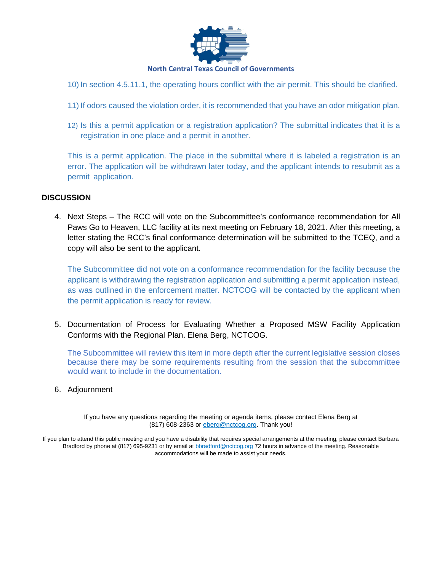

- 10) In section 4.5.11.1, the operating hours conflict with the air permit. This should be clarified.
- 11) If odors caused the violation order, it is recommended that you have an odor mitigation plan.
- 12) Is this a permit application or a registration application? The submittal indicates that it is a registration in one place and a permit in another.

This is a permit application. The place in the submittal where it is labeled a registration is an error. The application will be withdrawn later today, and the applicant intends to resubmit as a permit application.

#### **DISCUSSION**

4. Next Steps – The RCC will vote on the Subcommittee's conformance recommendation for All Paws Go to Heaven, LLC facility at its next meeting on February 18, 2021. After this meeting, a letter stating the RCC's final conformance determination will be submitted to the TCEQ, and a copy will also be sent to the applicant.

The Subcommittee did not vote on a conformance recommendation for the facility because the applicant is withdrawing the registration application and submitting a permit application instead, as was outlined in the enforcement matter. NCTCOG will be contacted by the applicant when the permit application is ready for review.

5. Documentation of Process for Evaluating Whether a Proposed MSW Facility Application Conforms with the Regional Plan. Elena Berg, NCTCOG.

The Subcommittee will review this item in more depth after the current legislative session closes because there may be some requirements resulting from the session that the subcommittee would want to include in the documentation.

6. Adjournment

If you have any questions regarding the meeting or agenda items, please contact Elena Berg at (817) 608-2363 or [eberg@nctcog.org.](mailto:eberg@nctcog.org) Thank you!

If you plan to attend this public meeting and you have a disability that requires special arrangements at the meeting, please contact Barbara Bradford by phone at (817) 695-9231 or by email at **b**bradford@nctcog.org 72 hours in advance of the meeting. Reasonable accommodations will be made to assist your needs.